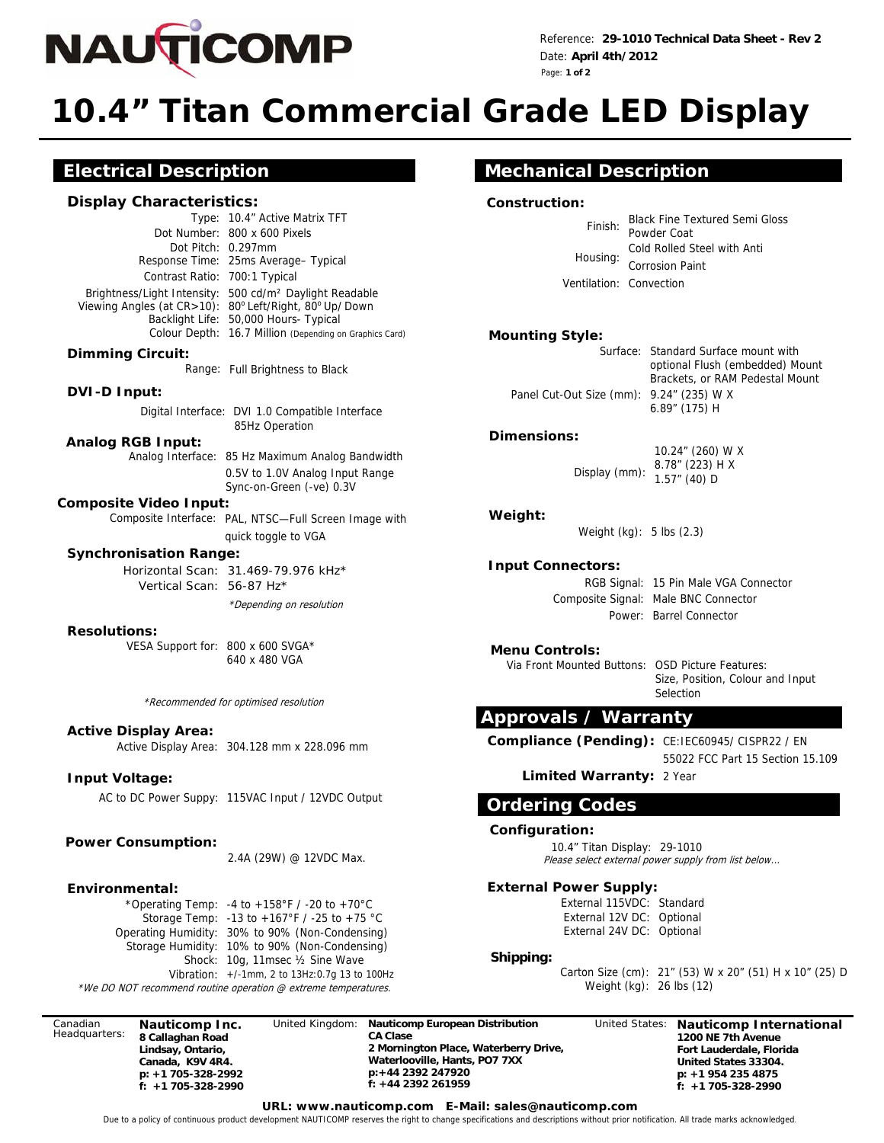

Reference: **29-1010 Technical Data Sheet - Rev 2**  Date: **April 4th/2012**  Page: **1 of 2**

# **10.4" Titan Commercial Grade LED Display**

# **Electrical Description**

#### **Display Characteristics:**

Type: 10.4" Active Matrix TFT Dot Number: 800 x 600 Pixels Dot Pitch: 0.297mm Response Time: 25ms Average– Typical Contrast Ratio: 700:1 Typical Brightness/Light Intensity: 500 cd/m² Daylight Readable Viewing Angles (at CR>10): 80° Left/Right, 80° Up/ Down Backlight Life: 50,000 Hours- Typical Colour Depth: 16.7 Million (Depending on Graphics Card)

#### **Dimming Circuit:**

Range: Full Brightness to Black

#### **DVI-D Input:**

 Digital Interface: DVI 1.0 Compatible Interface 85Hz Operation

#### **Analog RGB Input:**

Analog Interface: 85 Hz Maximum Analog Bandwidth

0.5V to 1.0V Analog Input Range Sync-on-Green (-ve) 0.3V

#### **Composite Video Input:**

Composite Interface: PAL, NTSC—Full Screen Image with quick toggle to VGA

#### **Synchronisation Range:**

 \*Depending on resolution Horizontal Scan: 31.469-79.976 kHz\* Vertical Scan: 56-87 Hz\*

#### **Resolutions:**

VESA Support for: 800 x 600 SVGA\* 640 x 480 VGA

\*Recommended for optimised resolution

#### **Active Display Area:**

Active Display Area: 304.128 mm x 228.096 mm

### **Input Voltage:**

AC to DC Power Suppy: 115VAC Input / 12VDC Output

#### **Power Consumption:**

2.4A (29W) @ 12VDC Max.

#### **Environmental:**

\*Operating Temp: -4 to +158°F / -20 to +70°C Storage Temp: -13 to +167°F / -25 to +75 °C Vibration: +/-1mm, 2 to 13Hz:0.7g 13 to 100Hz Operating Humidity: 30% to 90% (Non-Condensing) Shock: 10g, 11msec ½ Sine Wave Storage Humidity: 10% to 90% (Non-Condensing)

\*We DO NOT recommend routine operation @ extreme temperatures.

Canadian Headquarters: **Nauticomp Inc. 8 Callaghan Road Lindsay, Ontario, Canada, K9V 4R4. p: +1 705-328-2992 f: +1 705-328-2990** 

United Kingdom: **Nauticomp European Distribution CA Clase 2 Mornington Place, Waterberry Drive, Waterlooville, Hants, PO7 7XX p:+44 2392 247920 f: +44 2392 261959** 

United States: **Nauticomp International 1200 NE 7th Avenue Fort Lauderdale, Florida United States 33304. p: +1 954 235 4875 f: +1 705-328-2990** 

# **Mechanical Description**

#### **Construction:**

| Finish: Powder Coat     | <b>Black Fine Textured Semi Gloss</b> |
|-------------------------|---------------------------------------|
|                         |                                       |
| Housing:                | Cold Rolled Steel with Anti           |
|                         | <b>Corrosion Paint</b>                |
| Ventilation: Convection |                                       |

#### **Mounting Style:**

Surface: Standard Surface mount with optional Flush (embedded) Mount Brackets, or RAM Pedestal Mount Panel Cut-Out Size (mm): 9.24" (235) W X 6.89" (175) H

#### **Dimensions:**

Display (mm): 10.24" (260) W X 8.78" (223) H X 1.57" (40) D

#### **Weight:**

Weight (kg): 5 lbs (2.3)

#### **Input Connectors:**

RGB Signal: 15 Pin Male VGA Connector Composite Signal: Male BNC Connector

#### **Menu Controls:**

Via Front Mounted Buttons: OSD Picture Features:

Power: Barrel Connector

Size, Position, Colour and Input Selection

## **Approvals / Warranty**

Compliance (Pending): CE:IEC60945/ CISPR22 / EN

55022 FCC Part 15 Section 15.109

#### **Limited Warranty:** 2 Year

## **Ordering Codes**

#### **Configuration:**

10.4" Titan Display: 29-1010 Please select external power supply from list below...

#### **External Power Supply:**

External 115VDC: Standard External 12V DC: Optional External 24V DC: Optional

#### **Shipping:**

Carton Size (cm): 21" (53) W x 20" (51) H x 10" (25) D Weight (kg): 26 lbs (12)

**URL: www.nauticomp.com E-Mail: sales@nauticomp.com** 

Due to a policy of continuous product development NAUTICOMP reserves the right to change specifications and descriptions without prior notification. All trade marks acknowledged.